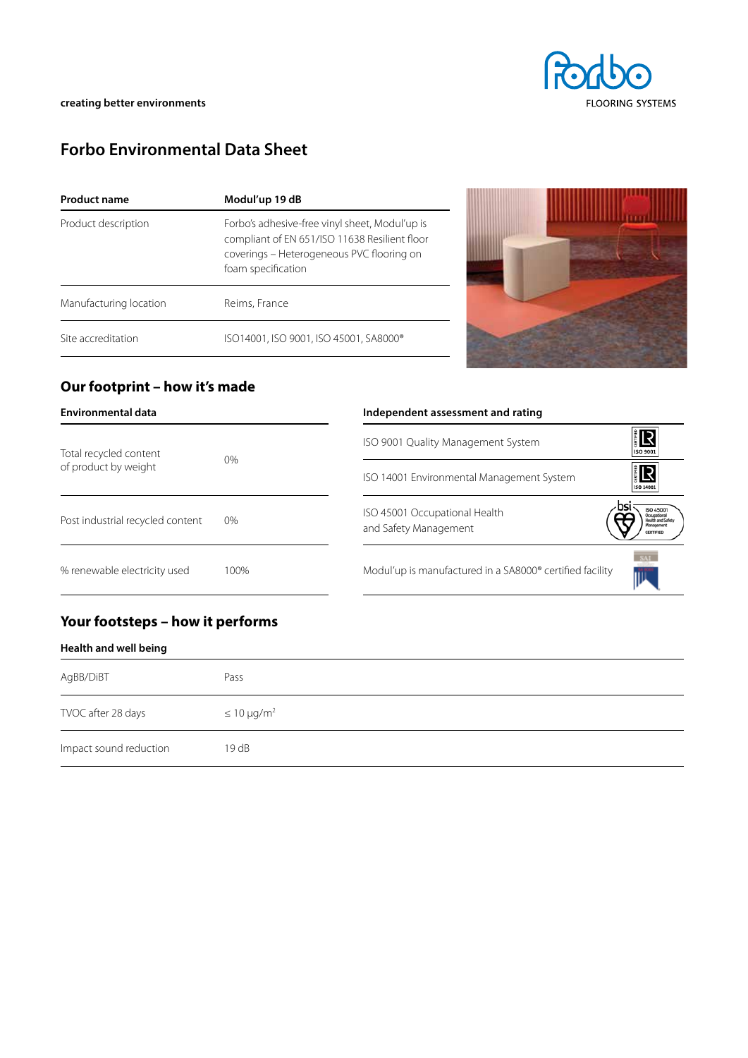# **Forbo Environmental Data Sheet**

| <b>Product name</b>    | Modul'up 19 dB                                                                                                                                                     |  |  |  |
|------------------------|--------------------------------------------------------------------------------------------------------------------------------------------------------------------|--|--|--|
| Product description    | Forbo's adhesive-free vinyl sheet, Modul'up is<br>compliant of EN 651/ISO 11638 Resilient floor<br>coverings - Heterogeneous PVC flooring on<br>foam specification |  |  |  |
| Manufacturing location | Reims, France                                                                                                                                                      |  |  |  |
| Site accreditation     | ISO14001, ISO 9001, ISO 45001, SA8000®                                                                                                                             |  |  |  |



## **Our footprint – how it's made**

| Environmental data                             |       | Independent assessment and rating                                                      |
|------------------------------------------------|-------|----------------------------------------------------------------------------------------|
| Total recycled content<br>of product by weight | $0\%$ | <b>IR</b><br>ISO 9001 Quality Management System<br>ISO 9001                            |
|                                                |       | ilS<br>ISO 14001 Environmental Management System<br>ISO 14001                          |
| Post industrial recycled content               | $0\%$ | <b>ISO 4500</b><br>ISO 45001 Occupational Health<br>and Safety Management<br>CERTIFIED |
| % renewable electricity used                   | 100%  | Modul'up is manufactured in a SA8000® certified facility                               |

## **Your footsteps – how it performs**

#### **Health and well being**

| AgBB/DiBT              | Pass                |
|------------------------|---------------------|
| TVOC after 28 days     | $\leq 10 \mu g/m^2$ |
| Impact sound reduction | 19dB                |